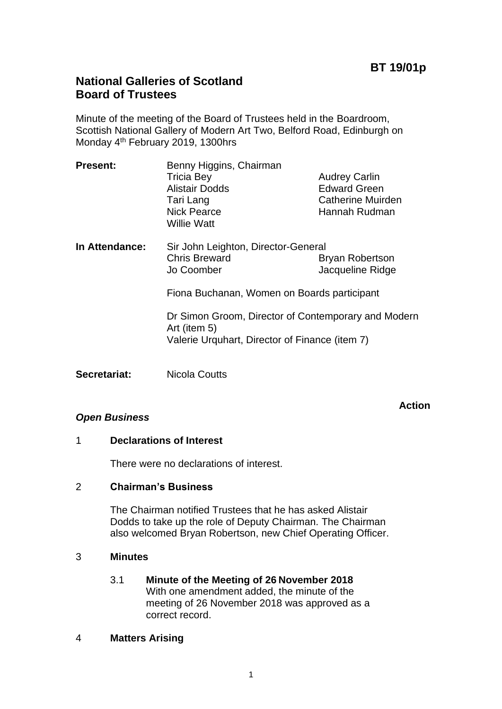# **National Galleries of Scotland Board of Trustees**

Minute of the meeting of the Board of Trustees held in the Boardroom, Scottish National Gallery of Modern Art Two, Belford Road, Edinburgh on Monday 4th February 2019, 1300hrs

| <b>Present:</b> | Benny Higgins, Chairman             |                          |
|-----------------|-------------------------------------|--------------------------|
|                 | <b>Tricia Bey</b>                   | <b>Audrey Carlin</b>     |
|                 | <b>Alistair Dodds</b>               | <b>Edward Green</b>      |
|                 | Tari Lang                           | <b>Catherine Muirden</b> |
|                 | <b>Nick Pearce</b>                  | Hannah Rudman            |
|                 | <b>Willie Watt</b>                  |                          |
| In Attendance:  | Sir John Leighton, Director-General |                          |
|                 | <b>Chris Breward</b>                | <b>Bryan Robertson</b>   |
|                 | Jo Coomber                          | Jacqueline Ridge         |

Fiona Buchanan, Women on Boards participant

Dr Simon Groom, Director of Contemporary and Modern Art (item 5) Valerie Urquhart, Director of Finance (item 7)

**Secretariat:** Nicola Coutts

#### **Action**

#### *Open Business*

# 1 **Declarations of Interest**

There were no declarations of interest.

# 2 **Chairman's Business**

The Chairman notified Trustees that he has asked Alistair Dodds to take up the role of Deputy Chairman. The Chairman also welcomed Bryan Robertson, new Chief Operating Officer.

#### 3 **Minutes**

### 3.1 **Minute of the Meeting of 26 November 2018** With one amendment added, the minute of the meeting of 26 November 2018 was approved as a correct record.

#### 4 **Matters Arising**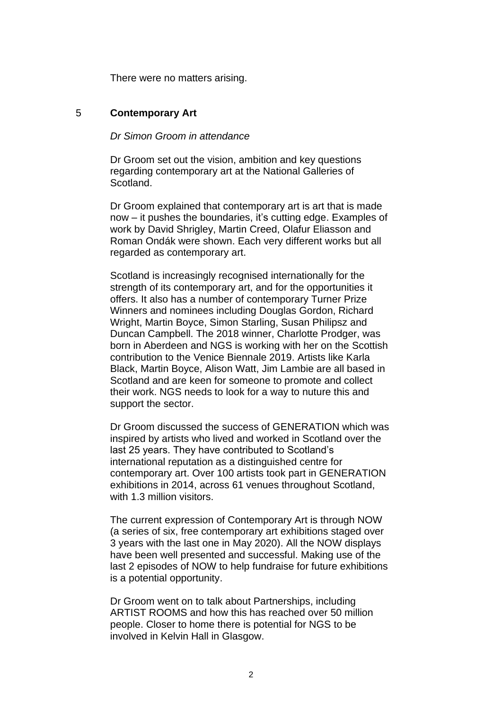There were no matters arising.

#### 5 **Contemporary Art**

# *Dr Simon Groom in attendance*

Dr Groom set out the vision, ambition and key questions regarding contemporary art at the National Galleries of Scotland.

Dr Groom explained that contemporary art is art that is made now – it pushes the boundaries, it's cutting edge. Examples of work by David Shrigley, Martin Creed, Olafur Eliasson and Roman Ondák were shown. Each very different works but all regarded as contemporary art.

Scotland is increasingly recognised internationally for the strength of its contemporary art, and for the opportunities it offers. It also has a number of contemporary Turner Prize Winners and nominees including Douglas Gordon, Richard Wright, Martin Boyce, Simon Starling, Susan Philipsz and Duncan Campbell. The 2018 winner, Charlotte Prodger, was born in Aberdeen and NGS is working with her on the Scottish contribution to the Venice Biennale 2019. Artists like Karla Black, Martin Boyce, Alison Watt, Jim Lambie are all based in Scotland and are keen for someone to promote and collect their work. NGS needs to look for a way to nuture this and support the sector.

Dr Groom discussed the success of GENERATION which was inspired by artists who lived and worked in Scotland over the last 25 years. They have contributed to Scotland's international reputation as a distinguished centre for contemporary art. Over 100 artists took part in GENERATION exhibitions in 2014, across 61 venues throughout Scotland, with 1.3 million visitors.

The current expression of Contemporary Art is through NOW (a series of six, free contemporary art exhibitions staged over 3 years with the last one in May 2020). All the NOW displays have been well presented and successful. Making use of the last 2 episodes of NOW to help fundraise for future exhibitions is a potential opportunity.

Dr Groom went on to talk about Partnerships, including ARTIST ROOMS and how this has reached over 50 million people. Closer to home there is potential for NGS to be involved in Kelvin Hall in Glasgow.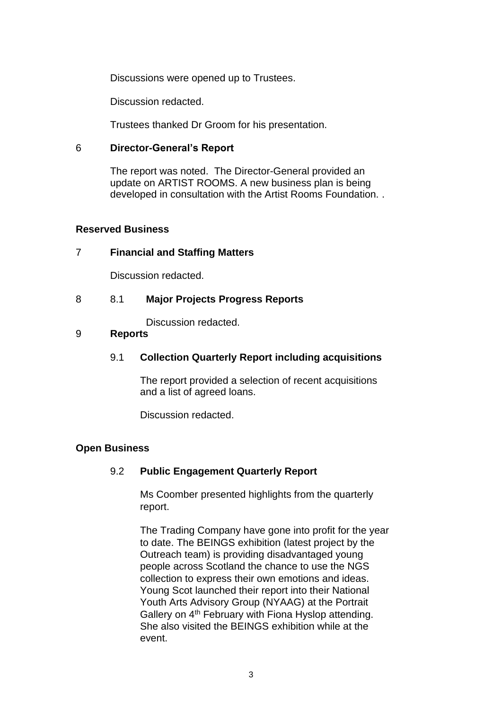Discussions were opened up to Trustees.

Discussion redacted.

Trustees thanked Dr Groom for his presentation.

### 6 **Director-General's Report**

The report was noted. The Director-General provided an update on ARTIST ROOMS. A new business plan is being developed in consultation with the Artist Rooms Foundation. .

### **Reserved Business**

# 7 **Financial and Staffing Matters**

Discussion redacted.

# 8 8.1 **Major Projects Progress Reports**

Discussion redacted.

### 9 **Reports**

# 9.1 **Collection Quarterly Report including acquisitions**

The report provided a selection of recent acquisitions and a list of agreed loans.

Discussion redacted.

# **Open Business**

# 9.2 **Public Engagement Quarterly Report**

Ms Coomber presented highlights from the quarterly report.

The Trading Company have gone into profit for the year to date. The BEINGS exhibition (latest project by the Outreach team) is providing disadvantaged young people across Scotland the chance to use the NGS collection to express their own emotions and ideas. Young Scot launched their report into their National Youth Arts Advisory Group (NYAAG) at the Portrait Gallery on 4<sup>th</sup> February with Fiona Hyslop attending. She also visited the BEINGS exhibition while at the event.